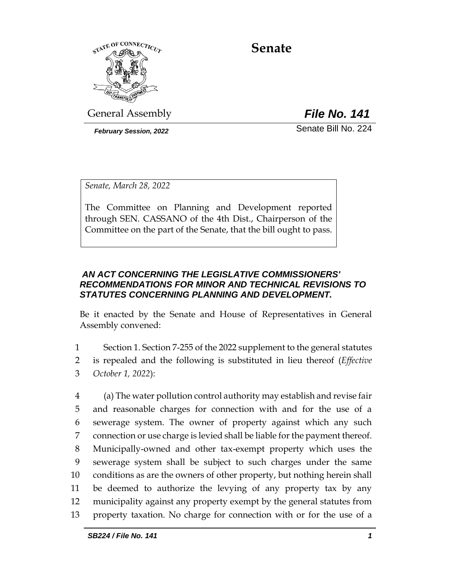

**Senate**

General Assembly *File No. 141*

*February Session, 2022* Senate Bill No. 224

*Senate, March 28, 2022*

The Committee on Planning and Development reported through SEN. CASSANO of the 4th Dist., Chairperson of the Committee on the part of the Senate, that the bill ought to pass.

## *AN ACT CONCERNING THE LEGISLATIVE COMMISSIONERS' RECOMMENDATIONS FOR MINOR AND TECHNICAL REVISIONS TO STATUTES CONCERNING PLANNING AND DEVELOPMENT.*

Be it enacted by the Senate and House of Representatives in General Assembly convened:

1 Section 1. Section 7-255 of the 2022 supplement to the general statutes 2 is repealed and the following is substituted in lieu thereof (*Effective*  3 *October 1, 2022*):

 (a) The water pollution control authority may establish and revise fair and reasonable charges for connection with and for the use of a sewerage system. The owner of property against which any such connection or use charge is levied shall be liable for the payment thereof. Municipally-owned and other tax-exempt property which uses the sewerage system shall be subject to such charges under the same conditions as are the owners of other property, but nothing herein shall be deemed to authorize the levying of any property tax by any municipality against any property exempt by the general statutes from property taxation. No charge for connection with or for the use of a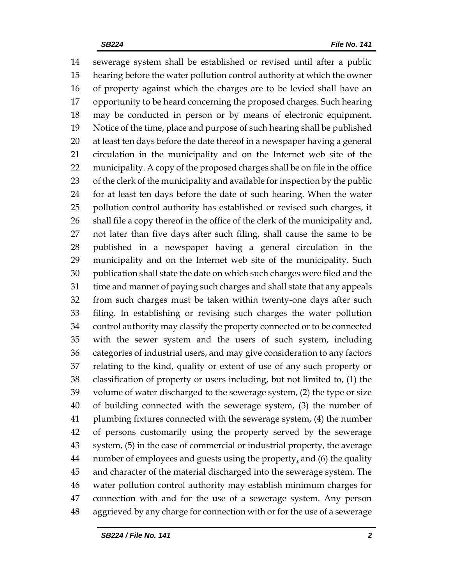sewerage system shall be established or revised until after a public hearing before the water pollution control authority at which the owner of property against which the charges are to be levied shall have an opportunity to be heard concerning the proposed charges. Such hearing may be conducted in person or by means of electronic equipment. Notice of the time, place and purpose of such hearing shall be published at least ten days before the date thereof in a newspaper having a general circulation in the municipality and on the Internet web site of the municipality. A copy of the proposed charges shall be on file in the office of the clerk of the municipality and available for inspection by the public for at least ten days before the date of such hearing. When the water pollution control authority has established or revised such charges, it shall file a copy thereof in the office of the clerk of the municipality and, not later than five days after such filing, shall cause the same to be published in a newspaper having a general circulation in the municipality and on the Internet web site of the municipality. Such publication shall state the date on which such charges were filed and the time and manner of paying such charges and shall state that any appeals from such charges must be taken within twenty-one days after such filing. In establishing or revising such charges the water pollution control authority may classify the property connected or to be connected with the sewer system and the users of such system, including categories of industrial users, and may give consideration to any factors relating to the kind, quality or extent of use of any such property or classification of property or users including, but not limited to, (1) the volume of water discharged to the sewerage system, (2) the type or size of building connected with the sewerage system, (3) the number of plumbing fixtures connected with the sewerage system, (4) the number of persons customarily using the property served by the sewerage system, (5) in the case of commercial or industrial property, the average 44 number of employees and guests using the property, and (6) the quality and character of the material discharged into the sewerage system. The water pollution control authority may establish minimum charges for connection with and for the use of a sewerage system. Any person aggrieved by any charge for connection with or for the use of a sewerage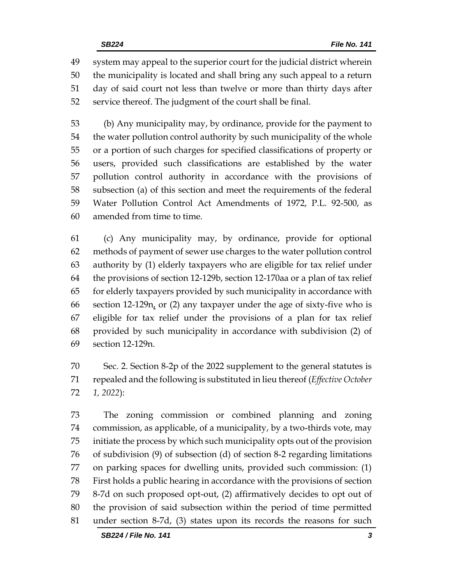system may appeal to the superior court for the judicial district wherein the municipality is located and shall bring any such appeal to a return day of said court not less than twelve or more than thirty days after service thereof. The judgment of the court shall be final.

 (b) Any municipality may, by ordinance, provide for the payment to the water pollution control authority by such municipality of the whole or a portion of such charges for specified classifications of property or users, provided such classifications are established by the water pollution control authority in accordance with the provisions of subsection (a) of this section and meet the requirements of the federal Water Pollution Control Act Amendments of 1972, P.L. 92-500, as amended from time to time.

 (c) Any municipality may, by ordinance, provide for optional methods of payment of sewer use charges to the water pollution control authority by (1) elderly taxpayers who are eligible for tax relief under the provisions of section 12-129b, section 12-170aa or a plan of tax relief for elderly taxpayers provided by such municipality in accordance with section 12-129n, or (2) any taxpayer under the age of sixty-five who is eligible for tax relief under the provisions of a plan for tax relief provided by such municipality in accordance with subdivision (2) of section 12-129n.

 Sec. 2. Section 8-2p of the 2022 supplement to the general statutes is repealed and the following is substituted in lieu thereof (*Effective October 1, 2022*):

 The zoning commission or combined planning and zoning commission, as applicable, of a municipality, by a two-thirds vote, may initiate the process by which such municipality opts out of the provision of subdivision (9) of subsection (d) of section 8-2 regarding limitations on parking spaces for dwelling units, provided such commission: (1) First holds a public hearing in accordance with the provisions of section 8-7d on such proposed opt-out, (2) affirmatively decides to opt out of the provision of said subsection within the period of time permitted under section 8-7d, (3) states upon its records the reasons for such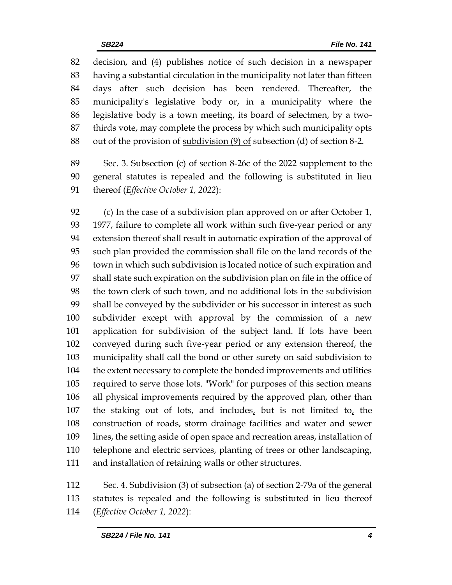decision, and (4) publishes notice of such decision in a newspaper having a substantial circulation in the municipality not later than fifteen days after such decision has been rendered. Thereafter, the municipality's legislative body or, in a municipality where the legislative body is a town meeting, its board of selectmen, by a two- thirds vote, may complete the process by which such municipality opts out of the provision of subdivision (9) of subsection (d) of section 8-2.

 Sec. 3. Subsection (c) of section 8-26c of the 2022 supplement to the general statutes is repealed and the following is substituted in lieu thereof (*Effective October 1, 2022*):

 (c) In the case of a subdivision plan approved on or after October 1, 1977, failure to complete all work within such five-year period or any extension thereof shall result in automatic expiration of the approval of such plan provided the commission shall file on the land records of the town in which such subdivision is located notice of such expiration and shall state such expiration on the subdivision plan on file in the office of the town clerk of such town, and no additional lots in the subdivision shall be conveyed by the subdivider or his successor in interest as such subdivider except with approval by the commission of a new application for subdivision of the subject land. If lots have been conveyed during such five-year period or any extension thereof, the municipality shall call the bond or other surety on said subdivision to the extent necessary to complete the bonded improvements and utilities required to serve those lots. "Work" for purposes of this section means all physical improvements required by the approved plan, other than the staking out of lots, and includes, but is not limited to, the construction of roads, storm drainage facilities and water and sewer lines, the setting aside of open space and recreation areas, installation of telephone and electric services, planting of trees or other landscaping, and installation of retaining walls or other structures.

 Sec. 4. Subdivision (3) of subsection (a) of section 2-79a of the general statutes is repealed and the following is substituted in lieu thereof (*Effective October 1, 2022*):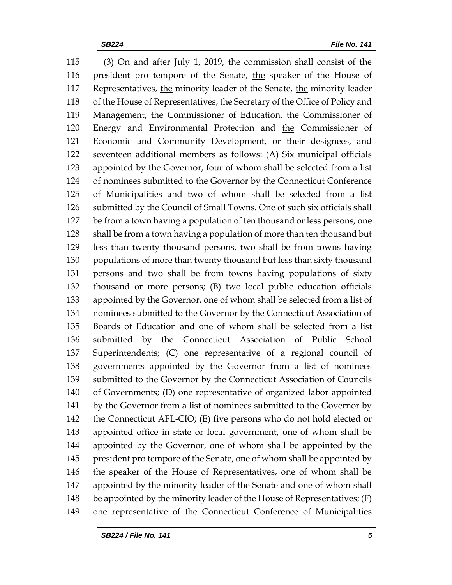(3) On and after July 1, 2019, the commission shall consist of the president pro tempore of the Senate, the speaker of the House of Representatives, the minority leader of the Senate, the minority leader of the House of Representatives, the Secretary of the Office of Policy and 119 Management, the Commissioner of Education, the Commissioner of 120 Energy and Environmental Protection and the Commissioner of Economic and Community Development, or their designees, and seventeen additional members as follows: (A) Six municipal officials appointed by the Governor, four of whom shall be selected from a list of nominees submitted to the Governor by the Connecticut Conference of Municipalities and two of whom shall be selected from a list submitted by the Council of Small Towns. One of such six officials shall be from a town having a population of ten thousand or less persons, one shall be from a town having a population of more than ten thousand but less than twenty thousand persons, two shall be from towns having populations of more than twenty thousand but less than sixty thousand persons and two shall be from towns having populations of sixty thousand or more persons; (B) two local public education officials appointed by the Governor, one of whom shall be selected from a list of nominees submitted to the Governor by the Connecticut Association of Boards of Education and one of whom shall be selected from a list submitted by the Connecticut Association of Public School Superintendents; (C) one representative of a regional council of governments appointed by the Governor from a list of nominees submitted to the Governor by the Connecticut Association of Councils of Governments; (D) one representative of organized labor appointed by the Governor from a list of nominees submitted to the Governor by the Connecticut AFL-CIO; (E) five persons who do not hold elected or appointed office in state or local government, one of whom shall be appointed by the Governor, one of whom shall be appointed by the 145 president pro tempore of the Senate, one of whom shall be appointed by the speaker of the House of Representatives, one of whom shall be appointed by the minority leader of the Senate and one of whom shall 148 be appointed by the minority leader of the House of Representatives; (F) one representative of the Connecticut Conference of Municipalities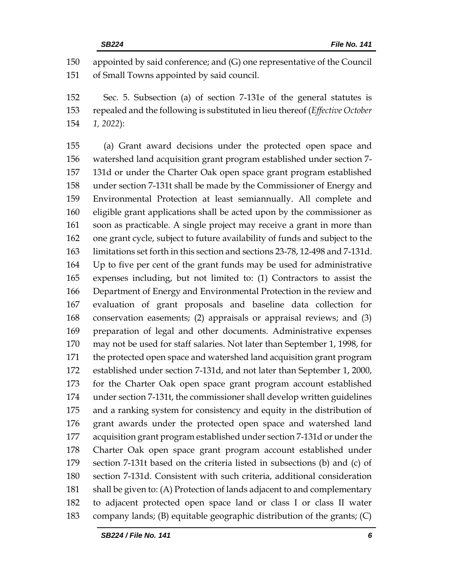appointed by said conference; and (G) one representative of the Council of Small Towns appointed by said council.

 Sec. 5. Subsection (a) of section 7-131e of the general statutes is repealed and the following is substituted in lieu thereof (*Effective October 1, 2022*):

 (a) Grant award decisions under the protected open space and watershed land acquisition grant program established under section 7- 131d or under the Charter Oak open space grant program established under section 7-131t shall be made by the Commissioner of Energy and Environmental Protection at least semiannually. All complete and eligible grant applications shall be acted upon by the commissioner as soon as practicable. A single project may receive a grant in more than one grant cycle, subject to future availability of funds and subject to the limitations set forth in this section and sections 23-78, 12-498 and 7-131d. Up to five per cent of the grant funds may be used for administrative expenses including, but not limited to: (1) Contractors to assist the Department of Energy and Environmental Protection in the review and evaluation of grant proposals and baseline data collection for conservation easements; (2) appraisals or appraisal reviews; and (3) preparation of legal and other documents. Administrative expenses may not be used for staff salaries. Not later than September 1, 1998, for the protected open space and watershed land acquisition grant program established under section 7-131d, and not later than September 1, 2000, for the Charter Oak open space grant program account established under section 7-131t, the commissioner shall develop written guidelines and a ranking system for consistency and equity in the distribution of grant awards under the protected open space and watershed land acquisition grant program established under section 7-131d or under the Charter Oak open space grant program account established under section 7-131t based on the criteria listed in subsections (b) and (c) of section 7-131d. Consistent with such criteria, additional consideration shall be given to: (A) Protection of lands adjacent to and complementary to adjacent protected open space land or class I or class II water company lands; (B) equitable geographic distribution of the grants; (C)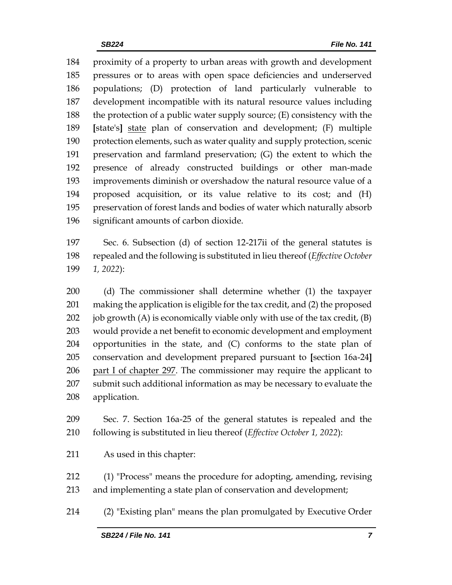proximity of a property to urban areas with growth and development pressures or to areas with open space deficiencies and underserved populations; (D) protection of land particularly vulnerable to development incompatible with its natural resource values including the protection of a public water supply source; (E) consistency with the **[**state's**]** state plan of conservation and development; (F) multiple protection elements, such as water quality and supply protection, scenic preservation and farmland preservation; (G) the extent to which the presence of already constructed buildings or other man-made improvements diminish or overshadow the natural resource value of a proposed acquisition, or its value relative to its cost; and (H) preservation of forest lands and bodies of water which naturally absorb significant amounts of carbon dioxide.

 Sec. 6. Subsection (d) of section 12-217ii of the general statutes is repealed and the following is substituted in lieu thereof (*Effective October 1, 2022*):

 (d) The commissioner shall determine whether (1) the taxpayer making the application is eligible for the tax credit, and (2) the proposed 202 job growth  $(A)$  is economically viable only with use of the tax credit,  $(B)$  would provide a net benefit to economic development and employment opportunities in the state, and (C) conforms to the state plan of conservation and development prepared pursuant to **[**section 16a-24**]** part I of chapter 297. The commissioner may require the applicant to submit such additional information as may be necessary to evaluate the application.

 Sec. 7. Section 16a-25 of the general statutes is repealed and the following is substituted in lieu thereof (*Effective October 1, 2022*):

As used in this chapter:

 (1) "Process" means the procedure for adopting, amending, revising and implementing a state plan of conservation and development;

(2) "Existing plan" means the plan promulgated by Executive Order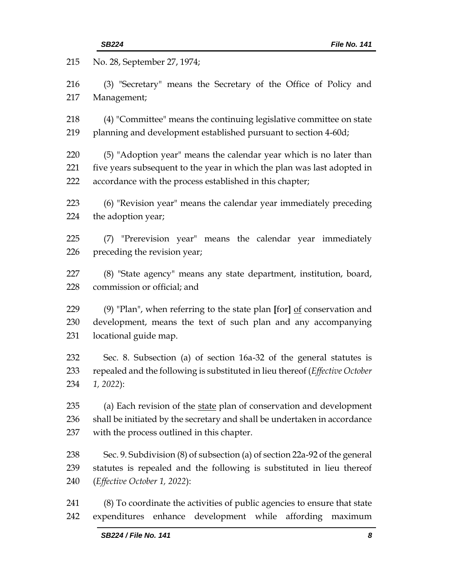| 215        | No. 28, September 27, 1974;                                                                                                                         |  |  |
|------------|-----------------------------------------------------------------------------------------------------------------------------------------------------|--|--|
| 216        | (3) "Secretary" means the Secretary of the Office of Policy and                                                                                     |  |  |
| 217        | Management;                                                                                                                                         |  |  |
| 218        | (4) "Committee" means the continuing legislative committee on state                                                                                 |  |  |
| 219        | planning and development established pursuant to section 4-60d;                                                                                     |  |  |
| 220        | (5) "Adoption year" means the calendar year which is no later than                                                                                  |  |  |
| 221        | five years subsequent to the year in which the plan was last adopted in                                                                             |  |  |
| 222        | accordance with the process established in this chapter;                                                                                            |  |  |
| 223        | (6) "Revision year" means the calendar year immediately preceding                                                                                   |  |  |
| 224        | the adoption year;                                                                                                                                  |  |  |
| 225        | (7) "Prerevision year" means the calendar year immediately                                                                                          |  |  |
| 226        | preceding the revision year;                                                                                                                        |  |  |
| 227        | (8) "State agency" means any state department, institution, board,                                                                                  |  |  |
| 228        | commission or official; and                                                                                                                         |  |  |
| 229        | (9) "Plan", when referring to the state plan [for] $\underline{of}$ conservation and                                                                |  |  |
| 230        | development, means the text of such plan and any accompanying                                                                                       |  |  |
| 231        | locational guide map.                                                                                                                               |  |  |
| 232        | Sec. 8. Subsection (a) of section 16a-32 of the general statutes is                                                                                 |  |  |
| 233        | repealed and the following is substituted in lieu thereof (Effective October                                                                        |  |  |
| 234        | $1, 2022$ :                                                                                                                                         |  |  |
| 235        | (a) Each revision of the state plan of conservation and development                                                                                 |  |  |
| 236        | shall be initiated by the secretary and shall be undertaken in accordance                                                                           |  |  |
| 237        | with the process outlined in this chapter.                                                                                                          |  |  |
| 238        | Sec. 9. Subdivision (8) of subsection (a) of section 22a-92 of the general                                                                          |  |  |
| 239        | statutes is repealed and the following is substituted in lieu thereof                                                                               |  |  |
| 240        | (Effective October 1, 2022):                                                                                                                        |  |  |
| 241<br>242 | (8) To coordinate the activities of public agencies to ensure that state<br>development<br>while<br>affording<br>expenditures<br>enhance<br>maximum |  |  |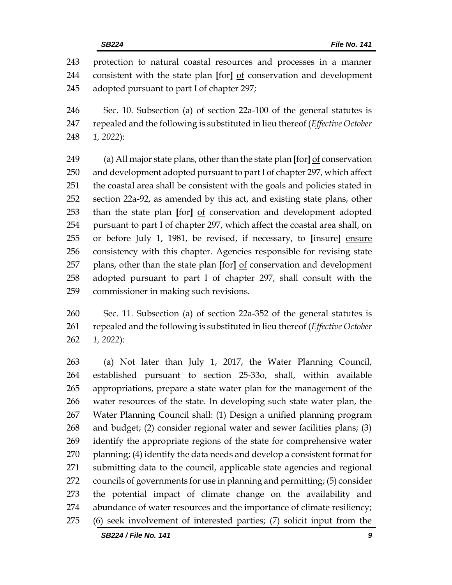protection to natural coastal resources and processes in a manner consistent with the state plan **[**for**]** of conservation and development adopted pursuant to part I of chapter 297;

 Sec. 10. Subsection (a) of section 22a-100 of the general statutes is repealed and the following is substituted in lieu thereof (*Effective October 1, 2022*):

 (a) All major state plans, other than the state plan **[**for**]** of conservation and development adopted pursuant to part I of chapter 297, which affect the coastal area shall be consistent with the goals and policies stated in section 22a-92, as amended by this act, and existing state plans, other than the state plan **[**for**]** of conservation and development adopted pursuant to part I of chapter 297, which affect the coastal area shall, on or before July 1, 1981, be revised, if necessary, to **[**insure**]** ensure consistency with this chapter. Agencies responsible for revising state plans, other than the state plan **[**for**]** of conservation and development adopted pursuant to part I of chapter 297, shall consult with the commissioner in making such revisions.

 Sec. 11. Subsection (a) of section 22a-352 of the general statutes is repealed and the following is substituted in lieu thereof (*Effective October 1, 2022*):

 (a) Not later than July 1, 2017, the Water Planning Council, established pursuant to section 25-33o, shall, within available appropriations, prepare a state water plan for the management of the water resources of the state. In developing such state water plan, the Water Planning Council shall: (1) Design a unified planning program and budget; (2) consider regional water and sewer facilities plans; (3) identify the appropriate regions of the state for comprehensive water planning; (4) identify the data needs and develop a consistent format for submitting data to the council, applicable state agencies and regional councils of governments for use in planning and permitting; (5) consider the potential impact of climate change on the availability and abundance of water resources and the importance of climate resiliency; (6) seek involvement of interested parties; (7) solicit input from the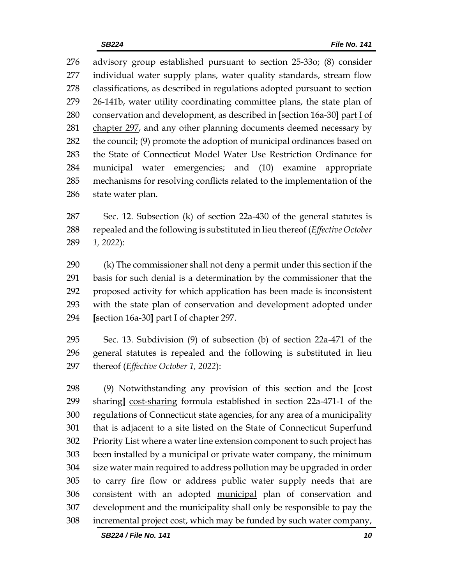advisory group established pursuant to section 25-33o; (8) consider individual water supply plans, water quality standards, stream flow classifications, as described in regulations adopted pursuant to section 26-141b, water utility coordinating committee plans, the state plan of conservation and development, as described in **[**section 16a-30**]** part I of 281 chapter 297, and any other planning documents deemed necessary by the council; (9) promote the adoption of municipal ordinances based on the State of Connecticut Model Water Use Restriction Ordinance for municipal water emergencies; and (10) examine appropriate mechanisms for resolving conflicts related to the implementation of the state water plan.

 Sec. 12. Subsection (k) of section 22a-430 of the general statutes is repealed and the following is substituted in lieu thereof (*Effective October 1, 2022*):

 (k) The commissioner shall not deny a permit under this section if the basis for such denial is a determination by the commissioner that the proposed activity for which application has been made is inconsistent with the state plan of conservation and development adopted under **[**section 16a-30**]** part I of chapter 297.

 Sec. 13. Subdivision (9) of subsection (b) of section 22a-471 of the general statutes is repealed and the following is substituted in lieu thereof (*Effective October 1, 2022*):

 (9) Notwithstanding any provision of this section and the **[**cost sharing**]** cost-sharing formula established in section 22a-471-1 of the regulations of Connecticut state agencies, for any area of a municipality that is adjacent to a site listed on the State of Connecticut Superfund Priority List where a water line extension component to such project has been installed by a municipal or private water company, the minimum size water main required to address pollution may be upgraded in order to carry fire flow or address public water supply needs that are consistent with an adopted municipal plan of conservation and development and the municipality shall only be responsible to pay the incremental project cost, which may be funded by such water company,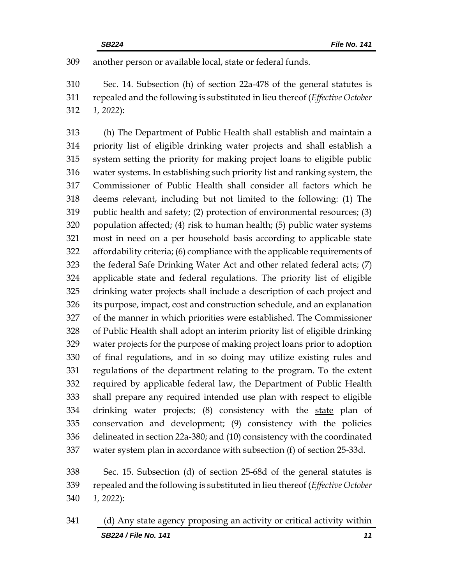another person or available local, state or federal funds.

 Sec. 14. Subsection (h) of section 22a-478 of the general statutes is repealed and the following is substituted in lieu thereof (*Effective October 1, 2022*):

 (h) The Department of Public Health shall establish and maintain a priority list of eligible drinking water projects and shall establish a system setting the priority for making project loans to eligible public water systems. In establishing such priority list and ranking system, the Commissioner of Public Health shall consider all factors which he deems relevant, including but not limited to the following: (1) The public health and safety; (2) protection of environmental resources; (3) population affected; (4) risk to human health; (5) public water systems most in need on a per household basis according to applicable state affordability criteria; (6) compliance with the applicable requirements of the federal Safe Drinking Water Act and other related federal acts; (7) applicable state and federal regulations. The priority list of eligible drinking water projects shall include a description of each project and its purpose, impact, cost and construction schedule, and an explanation of the manner in which priorities were established. The Commissioner of Public Health shall adopt an interim priority list of eligible drinking water projects for the purpose of making project loans prior to adoption of final regulations, and in so doing may utilize existing rules and regulations of the department relating to the program. To the extent required by applicable federal law, the Department of Public Health shall prepare any required intended use plan with respect to eligible drinking water projects; (8) consistency with the state plan of conservation and development; (9) consistency with the policies delineated in section 22a-380; and (10) consistency with the coordinated water system plan in accordance with subsection (f) of section 25-33d.

 Sec. 15. Subsection (d) of section 25-68d of the general statutes is repealed and the following is substituted in lieu thereof (*Effective October 1, 2022*):

*SB224 / File No. 141 11* (d) Any state agency proposing an activity or critical activity within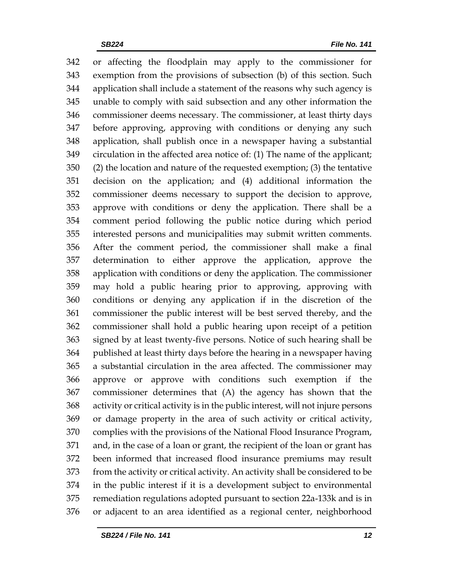or affecting the floodplain may apply to the commissioner for exemption from the provisions of subsection (b) of this section. Such application shall include a statement of the reasons why such agency is unable to comply with said subsection and any other information the commissioner deems necessary. The commissioner, at least thirty days before approving, approving with conditions or denying any such application, shall publish once in a newspaper having a substantial circulation in the affected area notice of: (1) The name of the applicant; (2) the location and nature of the requested exemption; (3) the tentative decision on the application; and (4) additional information the commissioner deems necessary to support the decision to approve, approve with conditions or deny the application. There shall be a comment period following the public notice during which period interested persons and municipalities may submit written comments. After the comment period, the commissioner shall make a final determination to either approve the application, approve the application with conditions or deny the application. The commissioner may hold a public hearing prior to approving, approving with conditions or denying any application if in the discretion of the commissioner the public interest will be best served thereby, and the commissioner shall hold a public hearing upon receipt of a petition signed by at least twenty-five persons. Notice of such hearing shall be published at least thirty days before the hearing in a newspaper having a substantial circulation in the area affected. The commissioner may approve or approve with conditions such exemption if the commissioner determines that (A) the agency has shown that the activity or critical activity is in the public interest, will not injure persons or damage property in the area of such activity or critical activity, complies with the provisions of the National Flood Insurance Program, and, in the case of a loan or grant, the recipient of the loan or grant has been informed that increased flood insurance premiums may result from the activity or critical activity. An activity shall be considered to be in the public interest if it is a development subject to environmental remediation regulations adopted pursuant to section 22a-133k and is in or adjacent to an area identified as a regional center, neighborhood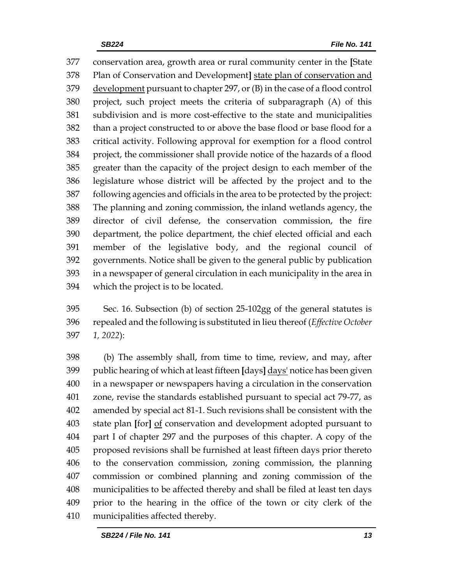conservation area, growth area or rural community center in the **[**State Plan of Conservation and Development**]** state plan of conservation and development pursuant to chapter 297, or (B) in the case of a flood control project, such project meets the criteria of subparagraph (A) of this subdivision and is more cost-effective to the state and municipalities than a project constructed to or above the base flood or base flood for a critical activity. Following approval for exemption for a flood control project, the commissioner shall provide notice of the hazards of a flood greater than the capacity of the project design to each member of the legislature whose district will be affected by the project and to the following agencies and officials in the area to be protected by the project: The planning and zoning commission, the inland wetlands agency, the director of civil defense, the conservation commission, the fire department, the police department, the chief elected official and each member of the legislative body, and the regional council of governments. Notice shall be given to the general public by publication in a newspaper of general circulation in each municipality in the area in which the project is to be located.

 Sec. 16. Subsection (b) of section 25-102gg of the general statutes is repealed and the following is substituted in lieu thereof (*Effective October 1, 2022*):

 (b) The assembly shall, from time to time, review, and may, after public hearing of which at least fifteen **[**days**]** days' notice has been given in a newspaper or newspapers having a circulation in the conservation zone, revise the standards established pursuant to special act 79-77, as amended by special act 81-1. Such revisions shall be consistent with the state plan **[**for**]** of conservation and development adopted pursuant to part I of chapter 297 and the purposes of this chapter. A copy of the proposed revisions shall be furnished at least fifteen days prior thereto to the conservation commission, zoning commission, the planning commission or combined planning and zoning commission of the municipalities to be affected thereby and shall be filed at least ten days prior to the hearing in the office of the town or city clerk of the municipalities affected thereby.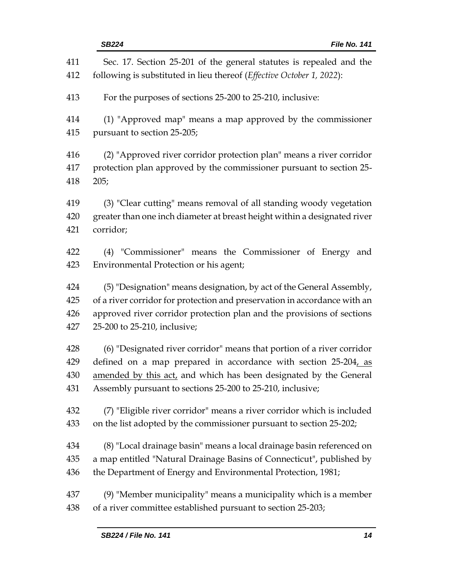| 411 | Sec. 17. Section 25-201 of the general statutes is repealed and the       |  |  |
|-----|---------------------------------------------------------------------------|--|--|
| 412 | following is substituted in lieu thereof (Effective October 1, 2022):     |  |  |
| 413 | For the purposes of sections 25-200 to 25-210, inclusive:                 |  |  |
| 414 | (1) "Approved map" means a map approved by the commissioner               |  |  |
| 415 | pursuant to section 25-205;                                               |  |  |
| 416 | (2) "Approved river corridor protection plan" means a river corridor      |  |  |
| 417 | protection plan approved by the commissioner pursuant to section 25-      |  |  |
| 418 | 205;                                                                      |  |  |
| 419 | (3) "Clear cutting" means removal of all standing woody vegetation        |  |  |
| 420 | greater than one inch diameter at breast height within a designated river |  |  |
| 421 | corridor;                                                                 |  |  |
| 422 | (4) "Commissioner" means the Commissioner of Energy and                   |  |  |
| 423 | Environmental Protection or his agent;                                    |  |  |
| 424 | (5) "Designation" means designation, by act of the General Assembly,      |  |  |
| 425 | of a river corridor for protection and preservation in accordance with an |  |  |
| 426 | approved river corridor protection plan and the provisions of sections    |  |  |
| 427 | 25-200 to 25-210, inclusive;                                              |  |  |
| 428 | (6) "Designated river corridor" means that portion of a river corridor    |  |  |
| 429 | defined on a map prepared in accordance with section 25-204, as           |  |  |
| 430 | amended by this act, and which has been designated by the General         |  |  |
| 431 | Assembly pursuant to sections 25-200 to 25-210, inclusive;                |  |  |
| 432 | (7) "Eligible river corridor" means a river corridor which is included    |  |  |
| 433 | on the list adopted by the commissioner pursuant to section 25-202;       |  |  |
| 434 | (8) "Local drainage basin" means a local drainage basin referenced on     |  |  |
| 435 | a map entitled "Natural Drainage Basins of Connecticut", published by     |  |  |
| 436 | the Department of Energy and Environmental Protection, 1981;              |  |  |
| 437 | $(9)$ "Member municipality" means a municipality which is a member        |  |  |
| 438 | of a river committee established pursuant to section 25-203;              |  |  |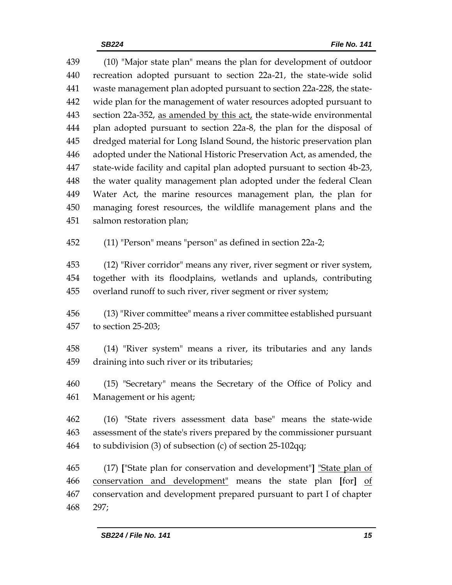(10) "Major state plan" means the plan for development of outdoor recreation adopted pursuant to section 22a-21, the state-wide solid waste management plan adopted pursuant to section 22a-228, the state- wide plan for the management of water resources adopted pursuant to 443 section 22a-352, as amended by this  $act<sub>L</sub>$  the state-wide environmental plan adopted pursuant to section 22a-8, the plan for the disposal of dredged material for Long Island Sound, the historic preservation plan adopted under the National Historic Preservation Act, as amended, the state-wide facility and capital plan adopted pursuant to section 4b-23, the water quality management plan adopted under the federal Clean Water Act, the marine resources management plan, the plan for managing forest resources, the wildlife management plans and the salmon restoration plan; (11) "Person" means "person" as defined in section 22a-2; (12) "River corridor" means any river, river segment or river system, together with its floodplains, wetlands and uplands, contributing overland runoff to such river, river segment or river system; (13) "River committee" means a river committee established pursuant to section 25-203; (14) "River system" means a river, its tributaries and any lands draining into such river or its tributaries;

 (15) "Secretary" means the Secretary of the Office of Policy and Management or his agent;

 (16) "State rivers assessment data base" means the state-wide assessment of the state's rivers prepared by the commissioner pursuant to subdivision (3) of subsection (c) of section 25-102qq;

 (17) **[**"State plan for conservation and development"**]** "State plan of conservation and development" means the state plan **[**for**]** of conservation and development prepared pursuant to part I of chapter 297;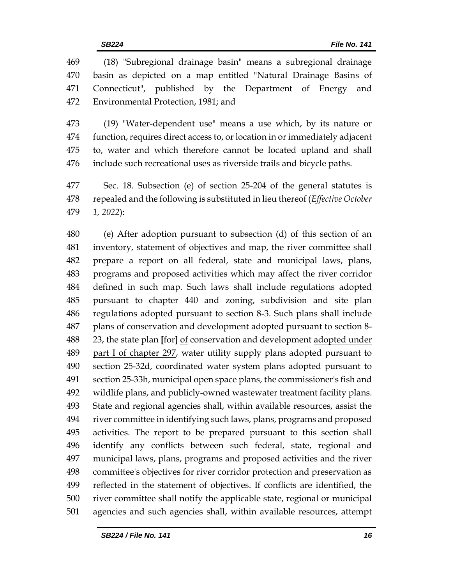(18) "Subregional drainage basin" means a subregional drainage basin as depicted on a map entitled "Natural Drainage Basins of Connecticut", published by the Department of Energy and Environmental Protection, 1981; and

 (19) "Water-dependent use" means a use which, by its nature or function, requires direct access to, or location in or immediately adjacent to, water and which therefore cannot be located upland and shall include such recreational uses as riverside trails and bicycle paths.

 Sec. 18. Subsection (e) of section 25-204 of the general statutes is repealed and the following is substituted in lieu thereof (*Effective October 1, 2022*):

 (e) After adoption pursuant to subsection (d) of this section of an inventory, statement of objectives and map, the river committee shall prepare a report on all federal, state and municipal laws, plans, programs and proposed activities which may affect the river corridor defined in such map. Such laws shall include regulations adopted pursuant to chapter 440 and zoning, subdivision and site plan regulations adopted pursuant to section 8-3. Such plans shall include plans of conservation and development adopted pursuant to section 8- 23, the state plan **[**for**]** of conservation and development adopted under 489 part I of chapter 297, water utility supply plans adopted pursuant to section 25-32d, coordinated water system plans adopted pursuant to section 25-33h, municipal open space plans, the commissioner's fish and wildlife plans, and publicly-owned wastewater treatment facility plans. State and regional agencies shall, within available resources, assist the river committee in identifying such laws, plans, programs and proposed activities. The report to be prepared pursuant to this section shall identify any conflicts between such federal, state, regional and municipal laws, plans, programs and proposed activities and the river committee's objectives for river corridor protection and preservation as reflected in the statement of objectives. If conflicts are identified, the river committee shall notify the applicable state, regional or municipal agencies and such agencies shall, within available resources, attempt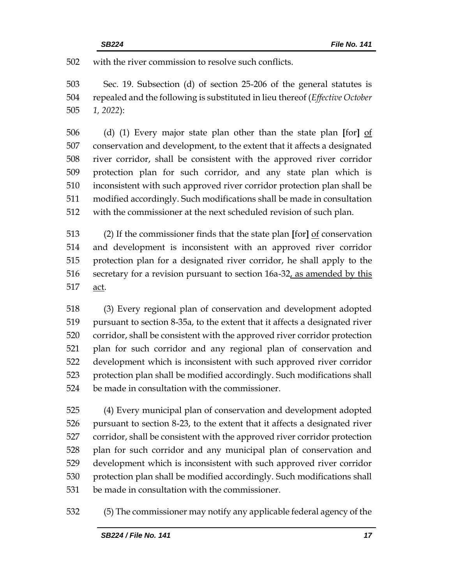with the river commission to resolve such conflicts.

 Sec. 19. Subsection (d) of section 25-206 of the general statutes is repealed and the following is substituted in lieu thereof (*Effective October 1, 2022*):

 (d) (1) Every major state plan other than the state plan **[**for**]** of conservation and development, to the extent that it affects a designated river corridor, shall be consistent with the approved river corridor protection plan for such corridor, and any state plan which is inconsistent with such approved river corridor protection plan shall be modified accordingly. Such modifications shall be made in consultation with the commissioner at the next scheduled revision of such plan.

 (2) If the commissioner finds that the state plan **[**for**]** of conservation and development is inconsistent with an approved river corridor protection plan for a designated river corridor, he shall apply to the secretary for a revision pursuant to section 16a-32, as amended by this act.

 (3) Every regional plan of conservation and development adopted pursuant to section 8-35a, to the extent that it affects a designated river corridor, shall be consistent with the approved river corridor protection plan for such corridor and any regional plan of conservation and development which is inconsistent with such approved river corridor protection plan shall be modified accordingly. Such modifications shall be made in consultation with the commissioner.

 (4) Every municipal plan of conservation and development adopted pursuant to section 8-23, to the extent that it affects a designated river corridor, shall be consistent with the approved river corridor protection plan for such corridor and any municipal plan of conservation and development which is inconsistent with such approved river corridor protection plan shall be modified accordingly. Such modifications shall be made in consultation with the commissioner.

(5) The commissioner may notify any applicable federal agency of the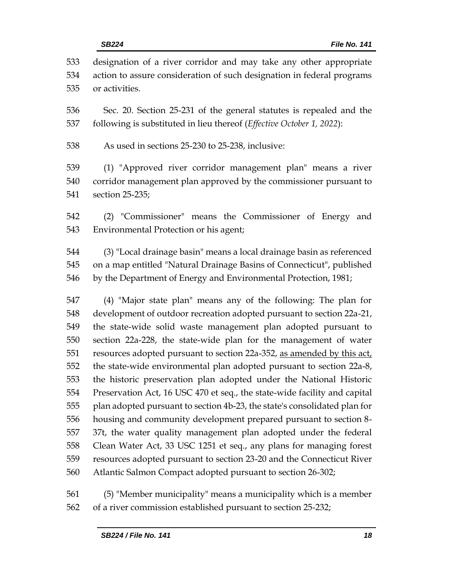|            | File No. 141<br><b>SB224</b>                                                                                                                 |
|------------|----------------------------------------------------------------------------------------------------------------------------------------------|
| 533<br>534 | designation of a river corridor and may take any other appropriate<br>action to assure consideration of such designation in federal programs |
| 535        | or activities.                                                                                                                               |
| 536        | Sec. 20. Section 25-231 of the general statutes is repealed and the                                                                          |
| 537        | following is substituted in lieu thereof (Effective October 1, 2022):                                                                        |
| 538        | As used in sections 25-230 to 25-238, inclusive:                                                                                             |
| 539        | (1) "Approved river corridor management plan" means a river                                                                                  |
| 540        | corridor management plan approved by the commissioner pursuant to                                                                            |
| 541        | section 25-235;                                                                                                                              |
| 542        | (2) "Commissioner" means the Commissioner of Energy<br>and                                                                                   |
| 543        | Environmental Protection or his agent;                                                                                                       |
| 544        | (3) "Local drainage basin" means a local drainage basin as referenced                                                                        |
| 545        | on a map entitled "Natural Drainage Basins of Connecticut", published                                                                        |
| 546        | by the Department of Energy and Environmental Protection, 1981;                                                                              |
| 547        | (4) "Major state plan" means any of the following: The plan for                                                                              |
| 548        | development of outdoor recreation adopted pursuant to section 22a-21,                                                                        |
| 549        | the state-wide solid waste management plan adopted pursuant to                                                                               |
| 550        | section 22a-228, the state-wide plan for the management of water                                                                             |
| 551        | resources adopted pursuant to section 22a-352, as amended by this act,                                                                       |
| 552        | the state-wide environmental plan adopted pursuant to section 22a-8,                                                                         |
| 553        | the historic preservation plan adopted under the National Historic                                                                           |
| 554        | Preservation Act, 16 USC 470 et seq., the state-wide facility and capital                                                                    |
| 555        | plan adopted pursuant to section 4b-23, the state's consolidated plan for                                                                    |
| 556        | housing and community development prepared pursuant to section 8-                                                                            |
| 557        | 37t, the water quality management plan adopted under the federal                                                                             |
| 558        | Clean Water Act, 33 USC 1251 et seq., any plans for managing forest                                                                          |

 resources adopted pursuant to section 23-20 and the Connecticut River Atlantic Salmon Compact adopted pursuant to section 26-302;

 (5) "Member municipality" means a municipality which is a member of a river commission established pursuant to section 25-232;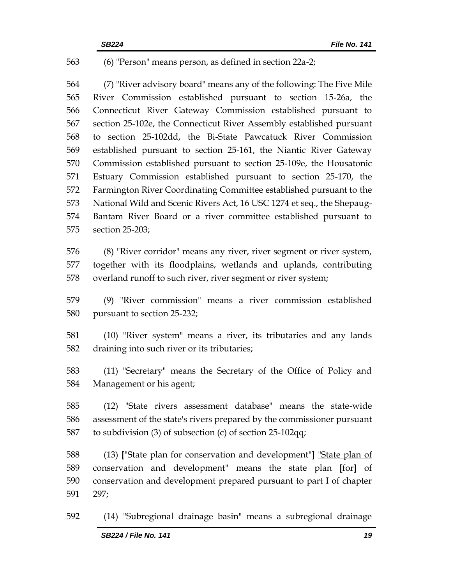#### (6) "Person" means person, as defined in section 22a-2;

 (7) "River advisory board" means any of the following: The Five Mile River Commission established pursuant to section 15-26a, the Connecticut River Gateway Commission established pursuant to section 25-102e, the Connecticut River Assembly established pursuant to section 25-102dd, the Bi-State Pawcatuck River Commission established pursuant to section 25-161, the Niantic River Gateway Commission established pursuant to section 25-109e, the Housatonic Estuary Commission established pursuant to section 25-170, the Farmington River Coordinating Committee established pursuant to the National Wild and Scenic Rivers Act, 16 USC 1274 et seq., the Shepaug- Bantam River Board or a river committee established pursuant to section 25-203;

 (8) "River corridor" means any river, river segment or river system, together with its floodplains, wetlands and uplands, contributing overland runoff to such river, river segment or river system;

 (9) "River commission" means a river commission established pursuant to section 25-232;

 (10) "River system" means a river, its tributaries and any lands draining into such river or its tributaries;

 (11) "Secretary" means the Secretary of the Office of Policy and Management or his agent;

 (12) "State rivers assessment database" means the state-wide assessment of the state's rivers prepared by the commissioner pursuant to subdivision (3) of subsection (c) of section 25-102qq;

 (13) **[**"State plan for conservation and development"**]** "State plan of conservation and development" means the state plan **[**for**]** of conservation and development prepared pursuant to part I of chapter 297;

(14) "Subregional drainage basin" means a subregional drainage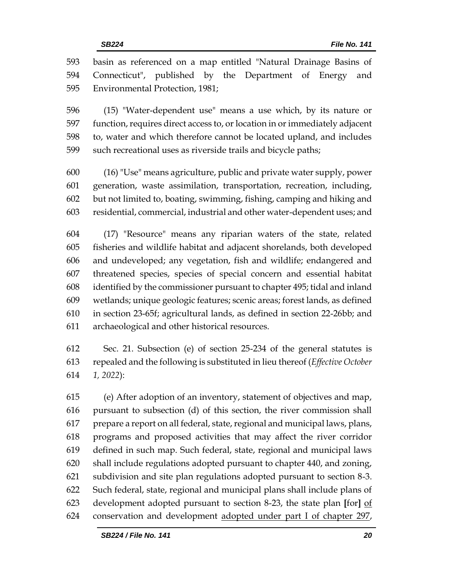basin as referenced on a map entitled "Natural Drainage Basins of Connecticut", published by the Department of Energy and Environmental Protection, 1981;

 (15) "Water-dependent use" means a use which, by its nature or function, requires direct access to, or location in or immediately adjacent to, water and which therefore cannot be located upland, and includes such recreational uses as riverside trails and bicycle paths;

 (16) "Use" means agriculture, public and private water supply, power generation, waste assimilation, transportation, recreation, including, but not limited to, boating, swimming, fishing, camping and hiking and residential, commercial, industrial and other water-dependent uses; and

 (17) "Resource" means any riparian waters of the state, related fisheries and wildlife habitat and adjacent shorelands, both developed and undeveloped; any vegetation, fish and wildlife; endangered and threatened species, species of special concern and essential habitat identified by the commissioner pursuant to chapter 495; tidal and inland wetlands; unique geologic features; scenic areas; forest lands, as defined in section 23-65f; agricultural lands, as defined in section 22-26bb; and archaeological and other historical resources.

 Sec. 21. Subsection (e) of section 25-234 of the general statutes is repealed and the following is substituted in lieu thereof (*Effective October 1, 2022*):

 (e) After adoption of an inventory, statement of objectives and map, pursuant to subsection (d) of this section, the river commission shall prepare a report on all federal, state, regional and municipal laws, plans, programs and proposed activities that may affect the river corridor defined in such map. Such federal, state, regional and municipal laws shall include regulations adopted pursuant to chapter 440, and zoning, subdivision and site plan regulations adopted pursuant to section 8-3. Such federal, state, regional and municipal plans shall include plans of development adopted pursuant to section 8-23, the state plan **[**for**]** of conservation and development adopted under part I of chapter 297,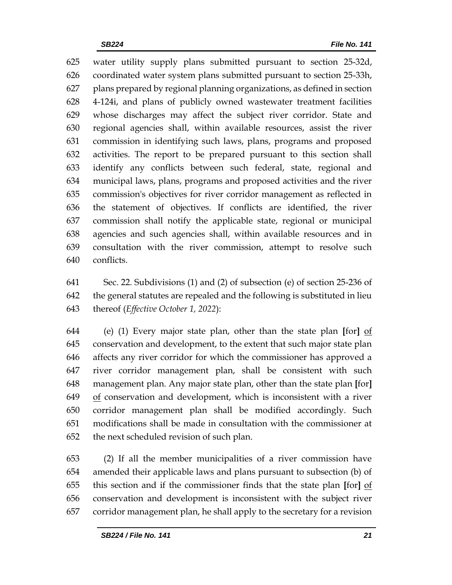water utility supply plans submitted pursuant to section 25-32d, coordinated water system plans submitted pursuant to section 25-33h, plans prepared by regional planning organizations, as defined in section 4-124i, and plans of publicly owned wastewater treatment facilities whose discharges may affect the subject river corridor. State and regional agencies shall, within available resources, assist the river commission in identifying such laws, plans, programs and proposed activities. The report to be prepared pursuant to this section shall identify any conflicts between such federal, state, regional and municipal laws, plans, programs and proposed activities and the river commission's objectives for river corridor management as reflected in the statement of objectives. If conflicts are identified, the river commission shall notify the applicable state, regional or municipal agencies and such agencies shall, within available resources and in consultation with the river commission, attempt to resolve such conflicts.

 Sec. 22. Subdivisions (1) and (2) of subsection (e) of section 25-236 of the general statutes are repealed and the following is substituted in lieu thereof (*Effective October 1, 2022*):

 (e) (1) Every major state plan, other than the state plan **[**for**]** of conservation and development, to the extent that such major state plan affects any river corridor for which the commissioner has approved a river corridor management plan, shall be consistent with such management plan. Any major state plan, other than the state plan **[**for**]** of conservation and development, which is inconsistent with a river corridor management plan shall be modified accordingly. Such modifications shall be made in consultation with the commissioner at the next scheduled revision of such plan.

 (2) If all the member municipalities of a river commission have amended their applicable laws and plans pursuant to subsection (b) of this section and if the commissioner finds that the state plan **[**for**]** of conservation and development is inconsistent with the subject river corridor management plan, he shall apply to the secretary for a revision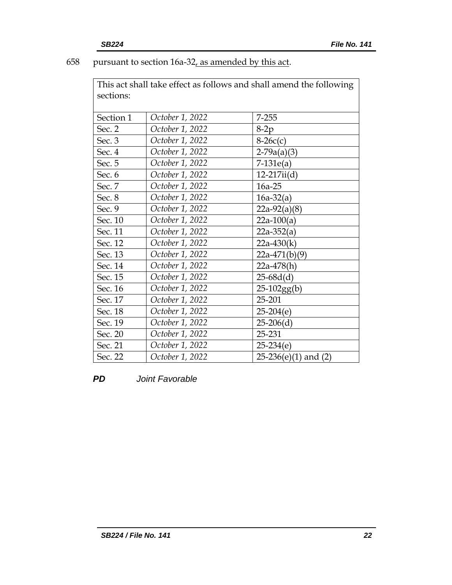# 658 pursuant to section 16a-32, as amended by this act.

This act shall take effect as follows and shall amend the following sections:

| Section 1 | October 1, 2022 | $7 - 255$                |
|-----------|-----------------|--------------------------|
| Sec. 2    | October 1, 2022 | $8-2p$                   |
| Sec. 3    | October 1, 2022 | $8-26c(c)$               |
| Sec. 4    | October 1, 2022 | $2-79a(a)(3)$            |
| Sec. 5    | October 1, 2022 | $7-131e(a)$              |
| Sec. 6    | October 1, 2022 | $12-217ii(d)$            |
| Sec. 7    | October 1, 2022 | 16a-25                   |
| Sec. 8    | October 1, 2022 | $16a-32(a)$              |
| Sec. 9    | October 1, 2022 | $22a-92(a)(8)$           |
| Sec. 10   | October 1, 2022 | $22a-100(a)$             |
| Sec. 11   | October 1, 2022 | $22a-352(a)$             |
| Sec. 12   | October 1, 2022 | $22a-430(k)$             |
| Sec. 13   | October 1, 2022 | $22a-471(b)(9)$          |
| Sec. 14   | October 1, 2022 | $22a-478(h)$             |
| Sec. 15   | October 1, 2022 | $25-68d(d)$              |
| Sec. 16   | October 1, 2022 | $25-102gg(b)$            |
| Sec. 17   | October 1, 2022 | 25-201                   |
| Sec. 18   | October 1, 2022 | $25-204(e)$              |
| Sec. 19   | October 1, 2022 | $25-206(d)$              |
| Sec. 20   | October 1, 2022 | 25-231                   |
| Sec. 21   | October 1, 2022 | $25-234(e)$              |
| Sec. 22   | October 1, 2022 | $25-236(e)(1)$ and $(2)$ |

*PD Joint Favorable*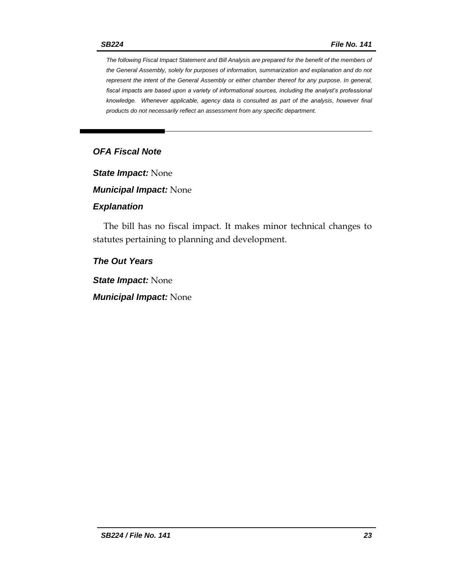*The following Fiscal Impact Statement and Bill Analysis are prepared for the benefit of the members of the General Assembly, solely for purposes of information, summarization and explanation and do not represent the intent of the General Assembly or either chamber thereof for any purpose. In general, fiscal impacts are based upon a variety of informational sources, including the analyst's professional knowledge. Whenever applicable, agency data is consulted as part of the analysis, however final products do not necessarily reflect an assessment from any specific department.*

## *OFA Fiscal Note*

*State Impact:* None

*Municipal Impact:* None

#### *Explanation*

The bill has no fiscal impact. It makes minor technical changes to statutes pertaining to planning and development.

## *The Out Years*

*State Impact:* None

*Municipal Impact:* None